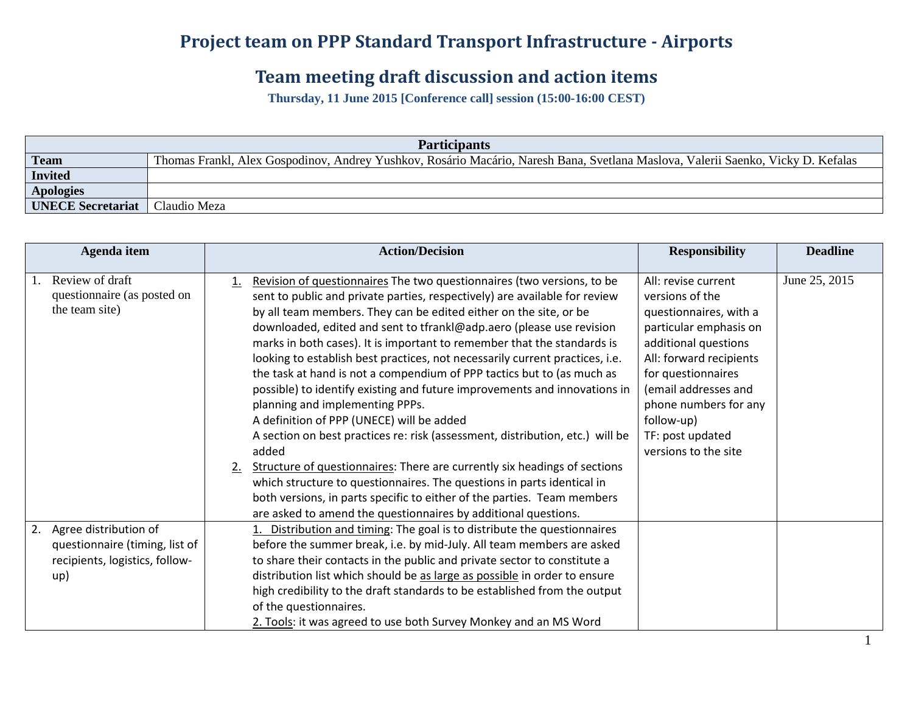## **Project team on PPP Standard Transport Infrastructure - Airports**

## **Team meeting draft discussion and action items**

**Thursday, 11 June 2015 [Conference call] session (15:00-16:00 CEST)**

| <b>Participants</b>      |                                                                                                                                  |  |  |  |
|--------------------------|----------------------------------------------------------------------------------------------------------------------------------|--|--|--|
| <b>Team</b>              | Thomas Frankl, Alex Gospodinov, Andrey Yushkov, Rosário Macário, Naresh Bana, Svetlana Maslova, Valerii Saenko, Vicky D. Kefalas |  |  |  |
| <b>Invited</b>           |                                                                                                                                  |  |  |  |
| <b>Apologies</b>         |                                                                                                                                  |  |  |  |
| <b>UNECE Secretariat</b> | Claudio Meza                                                                                                                     |  |  |  |

|    | Agenda item                                                                                      | <b>Action/Decision</b>                                                                                                                                                                                                                                                                                                                                                                                                                                                                                                                                                                                                                                                                                                                                                                                                                                                                                                                                                                                                                                                                                        | <b>Responsibility</b>                                                                                                                                                                                                                                                          | <b>Deadline</b> |
|----|--------------------------------------------------------------------------------------------------|---------------------------------------------------------------------------------------------------------------------------------------------------------------------------------------------------------------------------------------------------------------------------------------------------------------------------------------------------------------------------------------------------------------------------------------------------------------------------------------------------------------------------------------------------------------------------------------------------------------------------------------------------------------------------------------------------------------------------------------------------------------------------------------------------------------------------------------------------------------------------------------------------------------------------------------------------------------------------------------------------------------------------------------------------------------------------------------------------------------|--------------------------------------------------------------------------------------------------------------------------------------------------------------------------------------------------------------------------------------------------------------------------------|-----------------|
|    | Review of draft<br>questionnaire (as posted on<br>the team site)                                 | Revision of questionnaires The two questionnaires (two versions, to be<br>1.<br>sent to public and private parties, respectively) are available for review<br>by all team members. They can be edited either on the site, or be<br>downloaded, edited and sent to tfrankl@adp.aero (please use revision<br>marks in both cases). It is important to remember that the standards is<br>looking to establish best practices, not necessarily current practices, i.e.<br>the task at hand is not a compendium of PPP tactics but to (as much as<br>possible) to identify existing and future improvements and innovations in<br>planning and implementing PPPs.<br>A definition of PPP (UNECE) will be added<br>A section on best practices re: risk (assessment, distribution, etc.) will be<br>added<br>Structure of questionnaires: There are currently six headings of sections<br>2.<br>which structure to questionnaires. The questions in parts identical in<br>both versions, in parts specific to either of the parties. Team members<br>are asked to amend the questionnaires by additional questions. | All: revise current<br>versions of the<br>questionnaires, with a<br>particular emphasis on<br>additional questions<br>All: forward recipients<br>for questionnaires<br>(email addresses and<br>phone numbers for any<br>follow-up)<br>TF: post updated<br>versions to the site | June 25, 2015   |
| 2. | Agree distribution of<br>questionnaire (timing, list of<br>recipients, logistics, follow-<br>up) | Distribution and timing: The goal is to distribute the questionnaires<br>before the summer break, i.e. by mid-July. All team members are asked<br>to share their contacts in the public and private sector to constitute a<br>distribution list which should be as large as possible in order to ensure<br>high credibility to the draft standards to be established from the output<br>of the questionnaires.<br>2. Tools: it was agreed to use both Survey Monkey and an MS Word                                                                                                                                                                                                                                                                                                                                                                                                                                                                                                                                                                                                                            |                                                                                                                                                                                                                                                                                |                 |